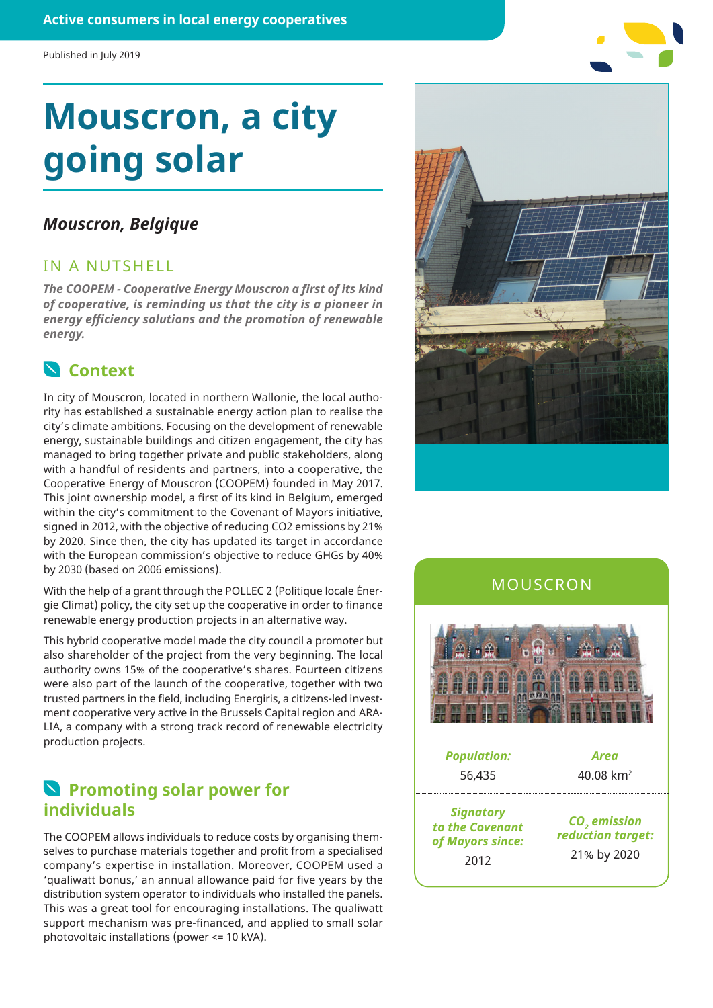# **Mouscron, a city going solar**

### *Mouscron, Belgique*

### IN A NUTSHELL

*The COOPEM - Cooperative Energy Mouscron a first of its kind of cooperative, is reminding us that the city is a pioneer in energy efficiency solutions and the promotion of renewable energy.*

# **Context**

In city of Mouscron, located in northern Wallonie, the local authority has established a sustainable energy action plan to realise the city's climate ambitions. Focusing on the development of renewable energy, sustainable buildings and citizen engagement, the city has managed to bring together private and public stakeholders, along with a handful of residents and partners, into a cooperative, the Cooperative Energy of Mouscron (COOPEM) founded in May 2017. This joint ownership model, a first of its kind in Belgium, emerged within the city's commitment to the Covenant of Mayors initiative, signed in 2012, with the objective of reducing CO2 emissions by 21% by 2020. Since then, the city has updated its target in accordance with the European commission's objective to reduce GHGs by 40% by 2030 (based on 2006 emissions).

With the help of a grant through the POLLEC 2 (Politique locale Énergie Climat) policy, the city set up the cooperative in order to finance renewable energy production projects in an alternative way.

This hybrid cooperative model made the city council a promoter but also shareholder of the project from the very beginning. The local authority owns 15% of the cooperative's shares. Fourteen citizens were also part of the launch of the cooperative, together with two trusted partners in the field, including Energiris, a citizens-led investment cooperative very active in the Brussels Capital region and ARA-LIA, a company with a strong track record of renewable electricity production projects.

# **N** Promoting solar power for **individuals**

The COOPEM allows individuals to reduce costs by organising themselves to purchase materials together and profit from a specialised company's expertise in installation. Moreover, COOPEM used a 'qualiwatt bonus,' an annual allowance paid for five years by the distribution system operator to individuals who installed the panels. This was a great tool for encouraging installations. The qualiwatt support mechanism was pre-financed, and applied to small solar photovoltaic installations (power <= 10 kVA).



## MOUSCRON



| <b>Population:</b><br>56,435                                    | Area<br>40.08 $km^2$                                         |
|-----------------------------------------------------------------|--------------------------------------------------------------|
| <b>Signatory</b><br>to the Covenant<br>of Mayors since:<br>2012 | CO <sub>2</sub> emission<br>reduction target:<br>21% by 2020 |
|                                                                 |                                                              |